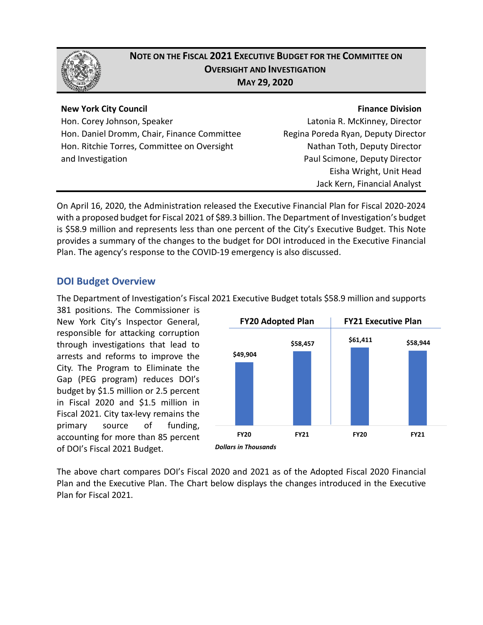

# **NOTE ON THE FISCAL 2021 EXECUTIVE BUDGET FOR THE COMMITTEE ON OVERSIGHT AND INVESTIGATION MAY 29, 2020**

#### **New York City Council**

Hon. Corey Johnson, Speaker Hon. Daniel Dromm, Chair, Finance Committee Hon. Ritchie Torres, Committee on Oversight and Investigation

**Finance Division** Latonia R. McKinney, Director Regina Poreda Ryan, Deputy Director Nathan Toth, Deputy Director Paul Scimone, Deputy Director Eisha Wright, Unit Head Jack Kern, Financial Analyst

On April 16, 2020, the Administration released the Executive Financial Plan for Fiscal 2020-2024 with a proposed budget for Fiscal 2021 of \$89.3 billion. The Department of Investigation's budget is \$58.9 million and represents less than one percent of the City's Executive Budget. This Note provides a summary of the changes to the budget for DOI introduced in the Executive Financial Plan. The agency's response to the COVID-19 emergency is also discussed.

## **DOI Budget Overview**

The Department of Investigation's Fiscal 2021 Executive Budget totals \$58.9 million and supports

381 positions. The Commissioner is New York City's Inspector General, responsible for attacking corruption through investigations that lead to arrests and reforms to improve the City. The Program to Eliminate the Gap (PEG program) reduces DOI's budget by \$1.5 million or 2.5 percent in Fiscal 2020 and \$1.5 million in Fiscal 2021. City tax-levy remains the primary source of funding, accounting for more than 85 percent of DOI's Fiscal 2021 Budget.



The above chart compares DOI's Fiscal 2020 and 2021 as of the Adopted Fiscal 2020 Financial Plan and the Executive Plan. The Chart below displays the changes introduced in the Executive Plan for Fiscal 2021.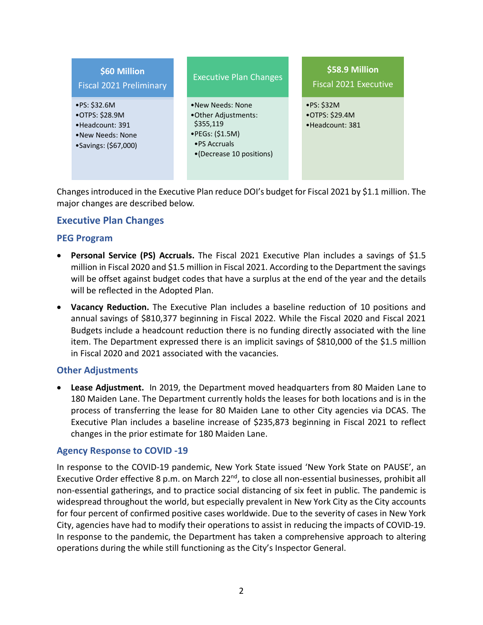

Changes introduced in the Executive Plan reduce DOI's budget for Fiscal 2021 by \$1.1 million. The major changes are described below.

## **Executive Plan Changes**

#### **PEG Program**

- **Personal Service (PS) Accruals.** The Fiscal 2021 Executive Plan includes a savings of \$1.5 million in Fiscal 2020 and \$1.5 million in Fiscal 2021. According to the Department the savings will be offset against budget codes that have a surplus at the end of the year and the details will be reflected in the Adopted Plan.
- **Vacancy Reduction.** The Executive Plan includes a baseline reduction of 10 positions and annual savings of \$810,377 beginning in Fiscal 2022. While the Fiscal 2020 and Fiscal 2021 Budgets include a headcount reduction there is no funding directly associated with the line item. The Department expressed there is an implicit savings of \$810,000 of the \$1.5 million in Fiscal 2020 and 2021 associated with the vacancies.

#### **Other Adjustments**

• **Lease Adjustment.** In 2019, the Department moved headquarters from 80 Maiden Lane to 180 Maiden Lane. The Department currently holds the leases for both locations and is in the process of transferring the lease for 80 Maiden Lane to other City agencies via DCAS. The Executive Plan includes a baseline increase of \$235,873 beginning in Fiscal 2021 to reflect changes in the prior estimate for 180 Maiden Lane.

#### **Agency Response to COVID -19**

In response to the COVID-19 pandemic, New York State issued 'New York State on PAUSE', an Executive Order effective 8 p.m. on March 22<sup>nd</sup>, to close all non-essential businesses, prohibit all non-essential gatherings, and to practice social distancing of six feet in public. The pandemic is widespread throughout the world, but especially prevalent in New York City as the City accounts for four percent of confirmed positive cases worldwide. Due to the severity of cases in New York City, agencies have had to modify their operations to assist in reducing the impacts of COVID-19. In response to the pandemic, the Department has taken a comprehensive approach to altering operations during the while still functioning as the City's Inspector General.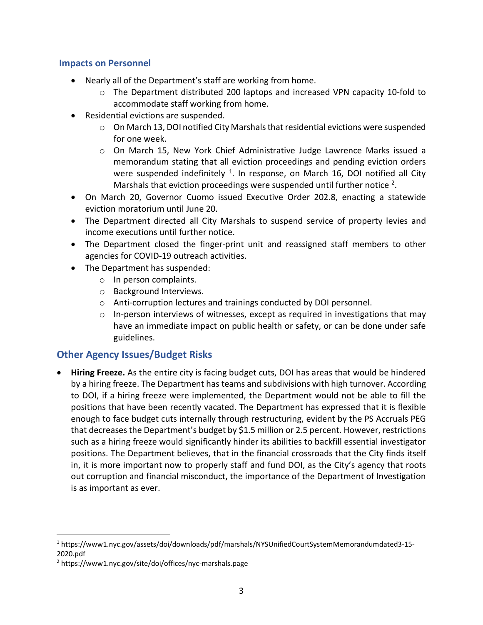#### **Impacts on Personnel**

- Nearly all of the Department's staff are working from home.
	- $\circ$  The Department distributed 200 laptops and increased VPN capacity 10-fold to accommodate staff working from home.
- Residential evictions are suspended.
	- $\circ$  On March 13, DOI notified City Marshals that residential evictions were suspended for one week.
	- o On March 15, New York Chief Administrative Judge Lawrence Marks issued a memorandum stating that all eviction proceedings and pending eviction orders were suspended indefinitely  $1$ . In response, on March 16, DOI notified all City Marshals that eviction proceedings were suspended until further notice  $2$ .
- On March 20, Governor Cuomo issued Executive Order 202.8, enacting a statewide eviction moratorium until June 20.
- The Department directed all City Marshals to suspend service of property levies and income executions until further notice.
- The Department closed the finger-print unit and reassigned staff members to other agencies for COVID-19 outreach activities.
- The Department has suspended:
	- o In person complaints.
	- o Background Interviews.
	- o Anti-corruption lectures and trainings conducted by DOI personnel.
	- $\circ$  In-person interviews of witnesses, except as required in investigations that may have an immediate impact on public health or safety, or can be done under safe guidelines.

# **Other Agency Issues/Budget Risks**

• **Hiring Freeze.** As the entire city is facing budget cuts, DOI has areas that would be hindered by a hiring freeze. The Department has teams and subdivisions with high turnover. According to DOI, if a hiring freeze were implemented, the Department would not be able to fill the positions that have been recently vacated. The Department has expressed that it is flexible enough to face budget cuts internally through restructuring, evident by the PS Accruals PEG that decreases the Department's budget by \$1.5 million or 2.5 percent. However, restrictions such as a hiring freeze would significantly hinder its abilities to backfill essential investigator positions. The Department believes, that in the financial crossroads that the City finds itself in, it is more important now to properly staff and fund DOI, as the City's agency that roots out corruption and financial misconduct, the importance of the Department of Investigation is as important as ever.

<span id="page-2-0"></span> <sup>1</sup> https://www1.nyc.gov/assets/doi/downloads/pdf/marshals/NYSUnifiedCourtSystemMemorandumdated3-15- 2020.pdf

<span id="page-2-1"></span><sup>2</sup> https://www1.nyc.gov/site/doi/offices/nyc-marshals.page